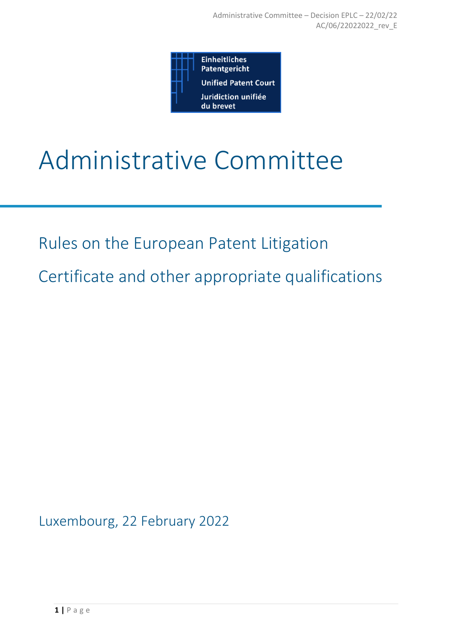

# Administrative Committee

Rules on the European Patent Litigation

Certificate and other appropriate qualifications

Luxembourg, 22 February 2022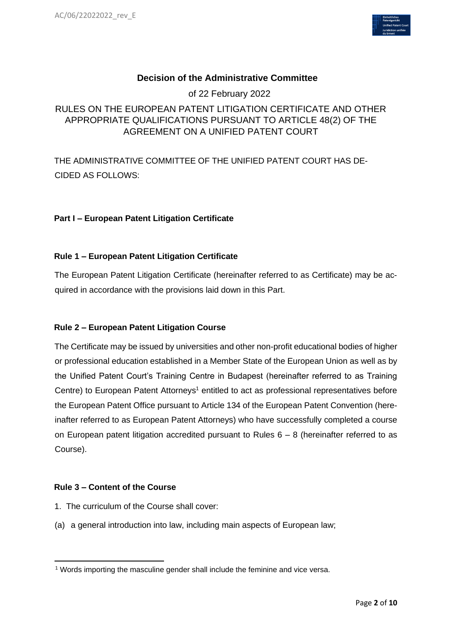

# **Decision of the Administrative Committee**

of 22 February 2022

# RULES ON THE EUROPEAN PATENT LITIGATION CERTIFICATE AND OTHER APPROPRIATE QUALIFICATIONS PURSUANT TO ARTICLE 48(2) OF THE AGREEMENT ON A UNIFIED PATENT COURT

THE ADMINISTRATIVE COMMITTEE OF THE UNIFIED PATENT COURT HAS DE-CIDED AS FOLLOWS:

#### **Part I – European Patent Litigation Certificate**

#### **Rule 1 – European Patent Litigation Certificate**

The European Patent Litigation Certificate (hereinafter referred to as Certificate) may be acquired in accordance with the provisions laid down in this Part.

#### **Rule 2 – European Patent Litigation Course**

The Certificate may be issued by universities and other non-profit educational bodies of higher or professional education established in a Member State of the European Union as well as by the Unified Patent Court's Training Centre in Budapest (hereinafter referred to as Training Centre) to European Patent Attorneys<sup>1</sup> entitled to act as professional representatives before the European Patent Office pursuant to Article 134 of the European Patent Convention (hereinafter referred to as European Patent Attorneys) who have successfully completed a course on European patent litigation accredited pursuant to Rules  $6 - 8$  (hereinafter referred to as Course).

#### **Rule 3 – Content of the Course**

- 1. The curriculum of the Course shall cover:
- (a) a general introduction into law, including main aspects of European law;

<sup>1</sup> Words importing the masculine gender shall include the feminine and vice versa.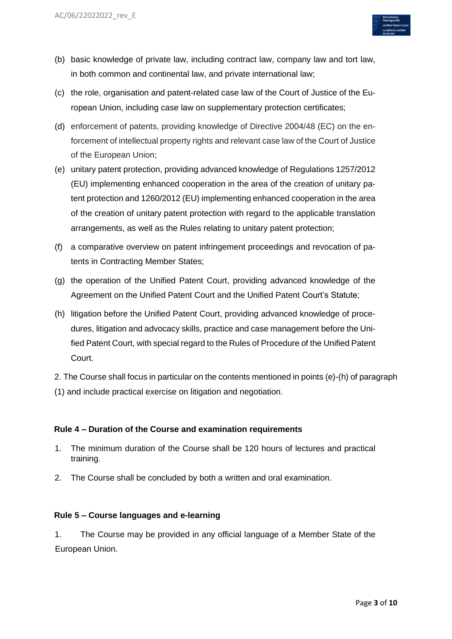

- (b) basic knowledge of private law, including contract law, company law and tort law, in both common and continental law, and private international law;
- (c) the role, organisation and patent-related case law of the Court of Justice of the European Union, including case law on supplementary protection certificates;
- (d) enforcement of patents, providing knowledge of Directive 2004/48 (EC) on the enforcement of intellectual property rights and relevant case law of the Court of Justice of the European Union;
- (e) unitary patent protection, providing advanced knowledge of Regulations 1257/2012 (EU) implementing enhanced cooperation in the area of the creation of unitary patent protection and 1260/2012 (EU) implementing enhanced cooperation in the area of the creation of unitary patent protection with regard to the applicable translation arrangements, as well as the Rules relating to unitary patent protection;
- (f) a comparative overview on patent infringement proceedings and revocation of patents in Contracting Member States;
- (g) the operation of the Unified Patent Court, providing advanced knowledge of the Agreement on the Unified Patent Court and the Unified Patent Court's Statute;
- (h) litigation before the Unified Patent Court, providing advanced knowledge of procedures, litigation and advocacy skills, practice and case management before the Unified Patent Court, with special regard to the Rules of Procedure of the Unified Patent Court.

2. The Course shall focus in particular on the contents mentioned in points (e)-(h) of paragraph (1) and include practical exercise on litigation and negotiation.

# **Rule 4 – Duration of the Course and examination requirements**

- 1. The minimum duration of the Course shall be 120 hours of lectures and practical training.
- 2. The Course shall be concluded by both a written and oral examination.

#### **Rule 5 – Course languages and e-learning**

1. The Course may be provided in any official language of a Member State of the European Union.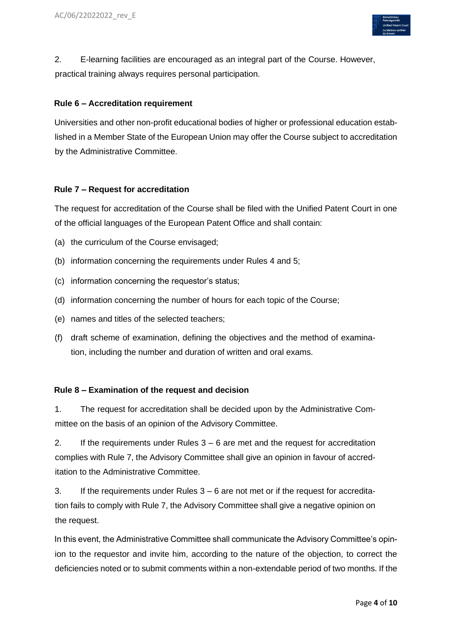

2. E-learning facilities are encouraged as an integral part of the Course. However, practical training always requires personal participation.

#### **Rule 6 – Accreditation requirement**

Universities and other non-profit educational bodies of higher or professional education established in a Member State of the European Union may offer the Course subject to accreditation by the Administrative Committee.

#### **Rule 7 – Request for accreditation**

The request for accreditation of the Course shall be filed with the Unified Patent Court in one of the official languages of the European Patent Office and shall contain:

- (a) the curriculum of the Course envisaged;
- (b) information concerning the requirements under Rules 4 and 5;
- (c) information concerning the requestor's status;
- (d) information concerning the number of hours for each topic of the Course;
- (e) names and titles of the selected teachers;
- (f) draft scheme of examination, defining the objectives and the method of examination, including the number and duration of written and oral exams.

#### **Rule 8 – Examination of the request and decision**

1. The request for accreditation shall be decided upon by the Administrative Committee on the basis of an opinion of the Advisory Committee.

2. If the requirements under Rules  $3 - 6$  are met and the request for accreditation complies with Rule 7, the Advisory Committee shall give an opinion in favour of accreditation to the Administrative Committee.

3. If the requirements under Rules 3 – 6 are not met or if the request for accreditation fails to comply with Rule 7, the Advisory Committee shall give a negative opinion on the request.

In this event, the Administrative Committee shall communicate the Advisory Committee's opinion to the requestor and invite him, according to the nature of the objection, to correct the deficiencies noted or to submit comments within a non-extendable period of two months. If the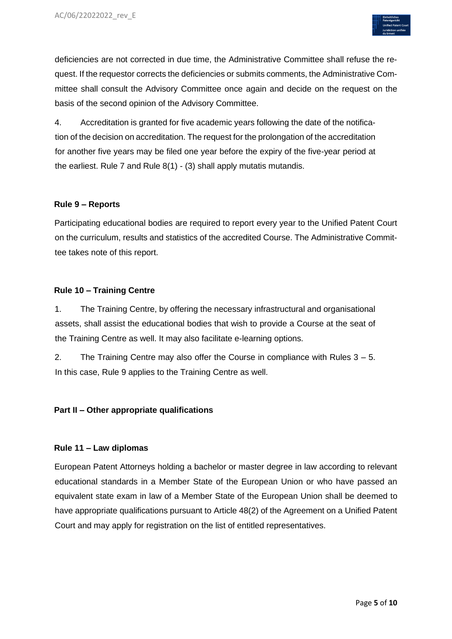

deficiencies are not corrected in due time, the Administrative Committee shall refuse the request. If the requestor corrects the deficiencies or submits comments, the Administrative Committee shall consult the Advisory Committee once again and decide on the request on the basis of the second opinion of the Advisory Committee.

4. Accreditation is granted for five academic years following the date of the notification of the decision on accreditation. The request for the prolongation of the accreditation for another five years may be filed one year before the expiry of the five-year period at the earliest. Rule 7 and Rule 8(1) - (3) shall apply mutatis mutandis.

#### **Rule 9 – Reports**

Participating educational bodies are required to report every year to the Unified Patent Court on the curriculum, results and statistics of the accredited Course. The Administrative Committee takes note of this report.

#### **Rule 10 – Training Centre**

1. The Training Centre, by offering the necessary infrastructural and organisational assets, shall assist the educational bodies that wish to provide a Course at the seat of the Training Centre as well. It may also facilitate e-learning options.

2. The Training Centre may also offer the Course in compliance with Rules 3 – 5. In this case, Rule 9 applies to the Training Centre as well.

# **Part II – Other appropriate qualifications**

#### **Rule 11 – Law diplomas**

European Patent Attorneys holding a bachelor or master degree in law according to relevant educational standards in a Member State of the European Union or who have passed an equivalent state exam in law of a Member State of the European Union shall be deemed to have appropriate qualifications pursuant to Article 48(2) of the Agreement on a Unified Patent Court and may apply for registration on the list of entitled representatives.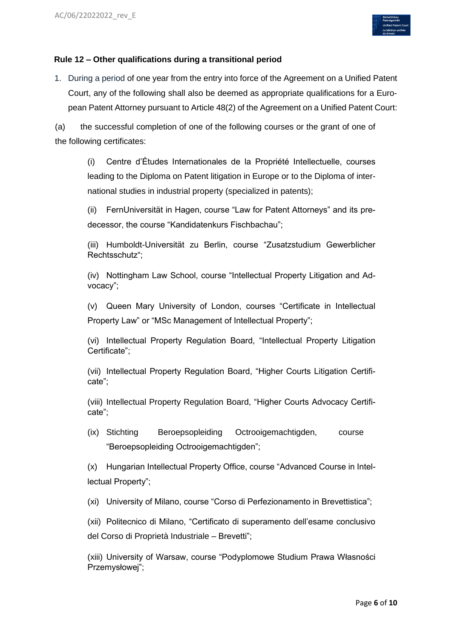

#### **Rule 12 – Other qualifications during a transitional period**

1. During a period of one year from the entry into force of the Agreement on a Unified Patent Court, any of the following shall also be deemed as appropriate qualifications for a European Patent Attorney pursuant to Article 48(2) of the Agreement on a Unified Patent Court:

(a) the successful completion of one of the following courses or the grant of one of the following certificates:

(i) Centre d'Études Internationales de la Propriété Intellectuelle, courses leading to the Diploma on Patent litigation in Europe or to the Diploma of international studies in industrial property (specialized in patents);

(ii) FernUniversität in Hagen, course "Law for Patent Attorneys" and its predecessor, the course "Kandidatenkurs Fischbachau";

(iii) Humboldt-Universität zu Berlin, course "Zusatzstudium Gewerblicher Rechtsschutz";

(iv) Nottingham Law School, course "Intellectual Property Litigation and Advocacy";

(v) Queen Mary University of London, courses "Certificate in Intellectual Property Law" or "MSc Management of Intellectual Property";

(vi) Intellectual Property Regulation Board, "Intellectual Property Litigation Certificate";

(vii) Intellectual Property Regulation Board, "Higher Courts Litigation Certificate";

(viii) Intellectual Property Regulation Board, "Higher Courts Advocacy Certificate";

(ix) Stichting Beroepsopleiding Octrooigemachtigden, course "Beroepsopleiding Octrooigemachtigden";

(x) Hungarian Intellectual Property Office, course "Advanced Course in Intellectual Property";

(xi) University of Milano, course "Corso di Perfezionamento in Brevettistica";

(xii) Politecnico di Milano, "Certificato di superamento dell'esame conclusivo del Corso di Proprietà Industriale – Brevetti";

(xiii) University of Warsaw, course "Podyplomowe Studium Prawa Własności Przemysłowej";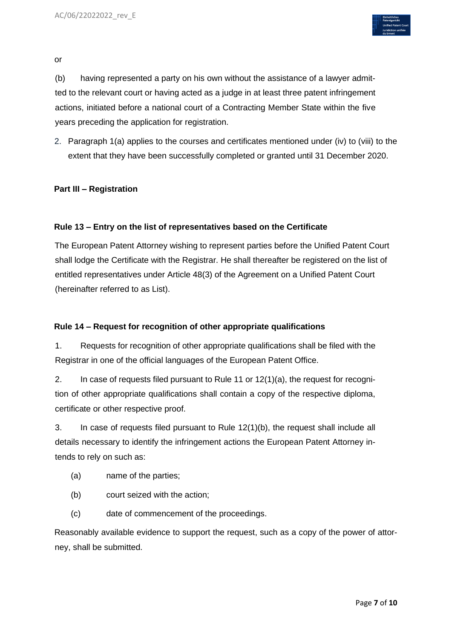

or

(b) having represented a party on his own without the assistance of a lawyer admitted to the relevant court or having acted as a judge in at least three patent infringement actions, initiated before a national court of a Contracting Member State within the five years preceding the application for registration.

2. Paragraph 1(a) applies to the courses and certificates mentioned under (iv) to (viii) to the extent that they have been successfully completed or granted until 31 December 2020.

#### **Part III – Registration**

#### **Rule 13 – Entry on the list of representatives based on the Certificate**

The European Patent Attorney wishing to represent parties before the Unified Patent Court shall lodge the Certificate with the Registrar. He shall thereafter be registered on the list of entitled representatives under Article 48(3) of the Agreement on a Unified Patent Court (hereinafter referred to as List).

#### **Rule 14 – Request for recognition of other appropriate qualifications**

1. Requests for recognition of other appropriate qualifications shall be filed with the Registrar in one of the official languages of the European Patent Office.

2. In case of requests filed pursuant to Rule 11 or 12(1)(a), the request for recognition of other appropriate qualifications shall contain a copy of the respective diploma, certificate or other respective proof.

3. In case of requests filed pursuant to Rule 12(1)(b), the request shall include all details necessary to identify the infringement actions the European Patent Attorney intends to rely on such as:

- (a) name of the parties;
- (b) court seized with the action;
- (c) date of commencement of the proceedings.

Reasonably available evidence to support the request, such as a copy of the power of attorney, shall be submitted.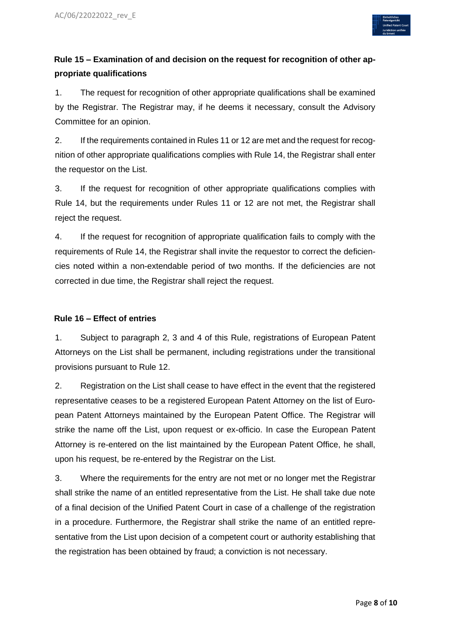

# **Rule 15 – Examination of and decision on the request for recognition of other appropriate qualifications**

1. The request for recognition of other appropriate qualifications shall be examined by the Registrar. The Registrar may, if he deems it necessary, consult the Advisory Committee for an opinion.

2. If the requirements contained in Rules 11 or 12 are met and the request for recognition of other appropriate qualifications complies with Rule 14, the Registrar shall enter the requestor on the List.

3. If the request for recognition of other appropriate qualifications complies with Rule 14, but the requirements under Rules 11 or 12 are not met, the Registrar shall reject the request.

4. If the request for recognition of appropriate qualification fails to comply with the requirements of Rule 14, the Registrar shall invite the requestor to correct the deficiencies noted within a non-extendable period of two months. If the deficiencies are not corrected in due time, the Registrar shall reject the request.

#### **Rule 16 – Effect of entries**

1. Subject to paragraph 2, 3 and 4 of this Rule, registrations of European Patent Attorneys on the List shall be permanent, including registrations under the transitional provisions pursuant to Rule 12.

2. Registration on the List shall cease to have effect in the event that the registered representative ceases to be a registered European Patent Attorney on the list of European Patent Attorneys maintained by the European Patent Office. The Registrar will strike the name off the List, upon request or ex-officio. In case the European Patent Attorney is re-entered on the list maintained by the European Patent Office, he shall, upon his request, be re-entered by the Registrar on the List.

3. Where the requirements for the entry are not met or no longer met the Registrar shall strike the name of an entitled representative from the List. He shall take due note of a final decision of the Unified Patent Court in case of a challenge of the registration in a procedure. Furthermore, the Registrar shall strike the name of an entitled representative from the List upon decision of a competent court or authority establishing that the registration has been obtained by fraud; a conviction is not necessary.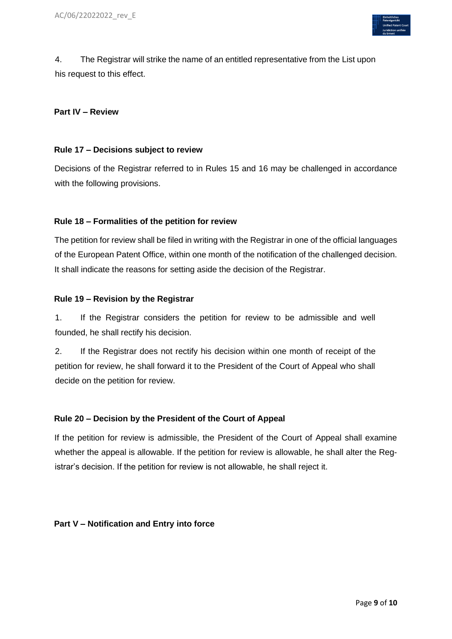

4. The Registrar will strike the name of an entitled representative from the List upon his request to this effect.

#### **Part IV – Review**

#### **Rule 17 – Decisions subject to review**

Decisions of the Registrar referred to in Rules 15 and 16 may be challenged in accordance with the following provisions.

#### **Rule 18 – Formalities of the petition for review**

The petition for review shall be filed in writing with the Registrar in one of the official languages of the European Patent Office, within one month of the notification of the challenged decision. It shall indicate the reasons for setting aside the decision of the Registrar.

#### **Rule 19 – Revision by the Registrar**

1. If the Registrar considers the petition for review to be admissible and well founded, he shall rectify his decision.

2. If the Registrar does not rectify his decision within one month of receipt of the petition for review, he shall forward it to the President of the Court of Appeal who shall decide on the petition for review.

#### **Rule 20 – Decision by the President of the Court of Appeal**

If the petition for review is admissible, the President of the Court of Appeal shall examine whether the appeal is allowable. If the petition for review is allowable, he shall alter the Registrar's decision. If the petition for review is not allowable, he shall reject it.

#### **Part V – Notification and Entry into force**